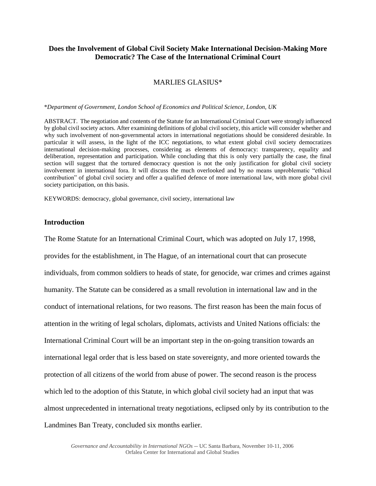## **Does the Involvement of Global Civil Society Make International Decision-Making More Democratic? The Case of the International Criminal Court**

## MARLIES GLASIUS\*

#### \**Department of Government, London School of Economics and Political Science, London, UK*

ABSTRACT. The negotiation and contents of the Statute for an International Criminal Court were strongly influenced by global civil society actors. After examining definitions of global civil society, this article will consider whether and why such involvement of non-governmental actors in international negotiations should be considered desirable. In particular it will assess, in the light of the ICC negotiations, to what extent global civil society democratizes international decision-making processes, considering as elements of democracy: transparency, equality and deliberation, representation and participation. While concluding that this is only very partially the case, the final section will suggest that the tortured democracy question is not the only justification for global civil society involvement in international fora. It will discuss the much overlooked and by no means unproblematic "ethical contribution" of global civil society and offer a qualified defence of more international law, with more global civil society participation, on this basis.

KEYWORDS: democracy, global governance, civil society, international law

## **Introduction**

The Rome Statute for an International Criminal Court, which was adopted on July 17, 1998, provides for the establishment, in The Hague, of an international court that can prosecute individuals, from common soldiers to heads of state, for genocide, war crimes and crimes against humanity. The Statute can be considered as a small revolution in international law and in the conduct of international relations, for two reasons. The first reason has been the main focus of attention in the writing of legal scholars, diplomats, activists and United Nations officials: the International Criminal Court will be an important step in the on-going transition towards an international legal order that is less based on state sovereignty, and more oriented towards the protection of all citizens of the world from abuse of power. The second reason is the process which led to the adoption of this Statute, in which global civil society had an input that was almost unprecedented in international treaty negotiations, eclipsed only by its contribution to the Landmines Ban Treaty, concluded six months earlier.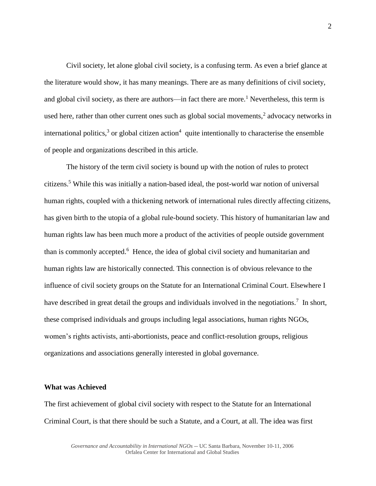Civil society, let alone global civil society, is a confusing term. As even a brief glance at the literature would show, it has many meanings. There are as many definitions of civil society, and global civil society, as there are authors—in fact there are more.<sup>1</sup> Nevertheless, this term is used here, rather than other current ones such as global social movements, $2$  advocacy networks in international politics,<sup>3</sup> or global citizen action<sup>4</sup> quite intentionally to characterise the ensemble of people and organizations described in this article.

The history of the term civil society is bound up with the notion of rules to protect citizens.<sup>5</sup> While this was initially a nation-based ideal, the post-world war notion of universal human rights, coupled with a thickening network of international rules directly affecting citizens, has given birth to the utopia of a global rule-bound society. This history of humanitarian law and human rights law has been much more a product of the activities of people outside government than is commonly accepted.<sup>6</sup> Hence, the idea of global civil society and humanitarian and human rights law are historically connected. This connection is of obvious relevance to the influence of civil society groups on the Statute for an International Criminal Court. Elsewhere I have described in great detail the groups and individuals involved in the negotiations.<sup>7</sup> In short, these comprised individuals and groups including legal associations, human rights NGOs, women's rights activists, anti-abortionists, peace and conflict-resolution groups, religious organizations and associations generally interested in global governance.

## **What was Achieved**

The first achievement of global civil society with respect to the Statute for an International Criminal Court, is that there should be such a Statute, and a Court, at all. The idea was first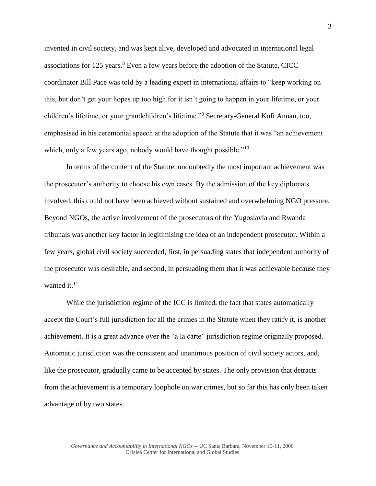invented in civil society, and was kept alive, developed and advocated in international legal associations for  $125$  years.<sup>8</sup> Even a few years before the adoption of the Statute, CICC coordinator Bill Pace was told by a leading expert in international affairs to "keep working on this, but don't get your hopes up too high for it isn't going to happen in your lifetime, or your children's lifetime, or your grandchildren's lifetime."<sup>9</sup> Secretary-General Kofi Annan, too, emphasised in his ceremonial speech at the adoption of the Statute that it was "an achievement which, only a few years ago, nobody would have thought possible."<sup>10</sup>

In terms of the content of the Statute, undoubtedly the most important achievement was the prosecutor's authority to choose his own cases. By the admission of the key diplomats involved, this could not have been achieved without sustained and overwhelming NGO pressure. Beyond NGOs, the active involvement of the prosecutors of the Yugoslavia and Rwanda tribunals was another key factor in legitimising the idea of an independent prosecutor. Within a few years, global civil society succeeded, first, in persuading states that independent authority of the prosecutor was desirable, and second, in persuading them that it was achievable because they wanted it.<sup>11</sup>

While the jurisdiction regime of the ICC is limited, the fact that states automatically accept the Court's full jurisdiction for all the crimes in the Statute when they ratify it, is another achievement. It is a great advance over the "a la carte" jurisdiction regime originally proposed. Automatic jurisdiction was the consistent and unanimous position of civil society actors, and, like the prosecutor, gradually came to be accepted by states. The only provision that detracts from the achievement is a temporary loophole on war crimes, but so far this has only been taken advantage of by two states.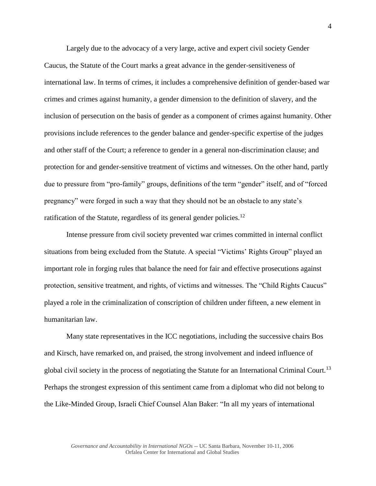Largely due to the advocacy of a very large, active and expert civil society Gender Caucus, the Statute of the Court marks a great advance in the gender-sensitiveness of international law. In terms of crimes, it includes a comprehensive definition of gender-based war crimes and crimes against humanity, a gender dimension to the definition of slavery, and the inclusion of persecution on the basis of gender as a component of crimes against humanity. Other provisions include references to the gender balance and gender-specific expertise of the judges and other staff of the Court; a reference to gender in a general non-discrimination clause; and protection for and gender-sensitive treatment of victims and witnesses. On the other hand, partly due to pressure from "pro-family" groups, definitions of the term "gender" itself, and of "forced pregnancy" were forged in such a way that they should not be an obstacle to any state's ratification of the Statute, regardless of its general gender policies.<sup>12</sup>

Intense pressure from civil society prevented war crimes committed in internal conflict situations from being excluded from the Statute. A special "Victims' Rights Group" played an important role in forging rules that balance the need for fair and effective prosecutions against protection, sensitive treatment, and rights, of victims and witnesses. The "Child Rights Caucus" played a role in the criminalization of conscription of children under fifteen, a new element in humanitarian law.

Many state representatives in the ICC negotiations, including the successive chairs Bos and Kirsch, have remarked on, and praised, the strong involvement and indeed influence of global civil society in the process of negotiating the Statute for an International Criminal Court.<sup>13</sup> Perhaps the strongest expression of this sentiment came from a diplomat who did not belong to the Like-Minded Group, Israeli Chief Counsel Alan Baker: "In all my years of international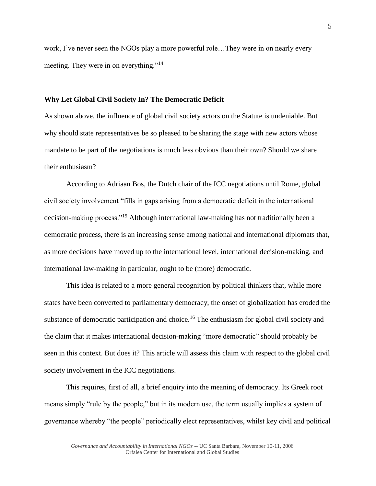work, I've never seen the NGOs play a more powerful role…They were in on nearly every meeting. They were in on everything."<sup>14</sup>

## **Why Let Global Civil Society In? The Democratic Deficit**

As shown above, the influence of global civil society actors on the Statute is undeniable. But why should state representatives be so pleased to be sharing the stage with new actors whose mandate to be part of the negotiations is much less obvious than their own? Should we share their enthusiasm?

According to Adriaan Bos, the Dutch chair of the ICC negotiations until Rome, global civil society involvement "fills in gaps arising from a democratic deficit in the international decision-making process."<sup>15</sup> Although international law-making has not traditionally been a democratic process, there is an increasing sense among national and international diplomats that, as more decisions have moved up to the international level, international decision-making, and international law-making in particular, ought to be (more) democratic.

This idea is related to a more general recognition by political thinkers that, while more states have been converted to parliamentary democracy, the onset of globalization has eroded the substance of democratic participation and choice.<sup>16</sup> The enthusiasm for global civil society and the claim that it makes international decision-making "more democratic" should probably be seen in this context. But does it? This article will assess this claim with respect to the global civil society involvement in the ICC negotiations.

This requires, first of all, a brief enquiry into the meaning of democracy. Its Greek root means simply "rule by the people," but in its modern use, the term usually implies a system of governance whereby "the people" periodically elect representatives, whilst key civil and political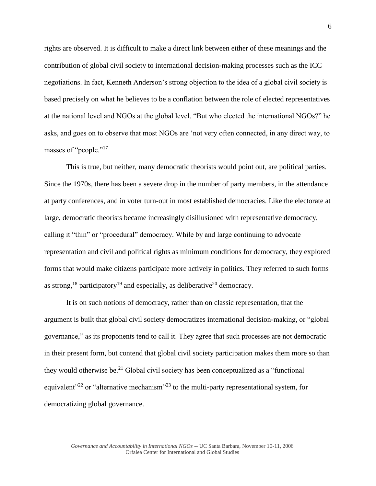rights are observed. It is difficult to make a direct link between either of these meanings and the contribution of global civil society to international decision-making processes such as the ICC negotiations. In fact, Kenneth Anderson's strong objection to the idea of a global civil society is based precisely on what he believes to be a conflation between the role of elected representatives at the national level and NGOs at the global level. "But who elected the international NGOs?" he asks, and goes on to observe that most NGOs are 'not very often connected, in any direct way, to masses of "people."<sup>17</sup>

This is true, but neither, many democratic theorists would point out, are political parties. Since the 1970s, there has been a severe drop in the number of party members, in the attendance at party conferences, and in voter turn-out in most established democracies. Like the electorate at large, democratic theorists became increasingly disillusioned with representative democracy, calling it "thin" or "procedural" democracy. While by and large continuing to advocate representation and civil and political rights as minimum conditions for democracy, they explored forms that would make citizens participate more actively in politics. They referred to such forms as strong,<sup>18</sup> participatory<sup>19</sup> and especially, as deliberative<sup>20</sup> democracy.

It is on such notions of democracy, rather than on classic representation, that the argument is built that global civil society democratizes international decision-making, or "global governance," as its proponents tend to call it. They agree that such processes are not democratic in their present form, but contend that global civil society participation makes them more so than they would otherwise be.<sup>21</sup> Global civil society has been conceptualized as a "functional" equivalent<sup>"22</sup> or "alternative mechanism<sup>"23</sup> to the multi-party representational system, for democratizing global governance.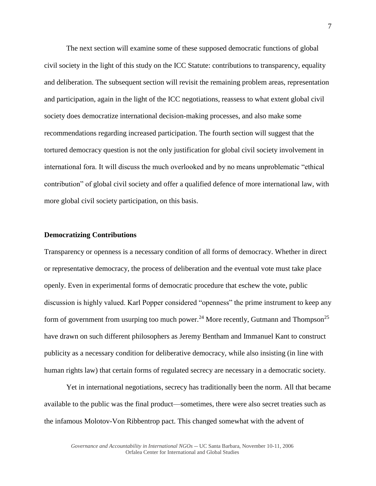The next section will examine some of these supposed democratic functions of global civil society in the light of this study on the ICC Statute: contributions to transparency, equality and deliberation. The subsequent section will revisit the remaining problem areas, representation and participation, again in the light of the ICC negotiations, reassess to what extent global civil society does democratize international decision-making processes, and also make some recommendations regarding increased participation. The fourth section will suggest that the tortured democracy question is not the only justification for global civil society involvement in international fora. It will discuss the much overlooked and by no means unproblematic "ethical contribution" of global civil society and offer a qualified defence of more international law, with more global civil society participation, on this basis.

### **Democratizing Contributions**

Transparency or openness is a necessary condition of all forms of democracy. Whether in direct or representative democracy, the process of deliberation and the eventual vote must take place openly. Even in experimental forms of democratic procedure that eschew the vote, public discussion is highly valued. Karl Popper considered "openness" the prime instrument to keep any form of government from usurping too much power.<sup>24</sup> More recently, Gutmann and Thompson<sup>25</sup> have drawn on such different philosophers as Jeremy Bentham and Immanuel Kant to construct publicity as a necessary condition for deliberative democracy, while also insisting (in line with human rights law) that certain forms of regulated secrecy are necessary in a democratic society.

Yet in international negotiations, secrecy has traditionally been the norm. All that became available to the public was the final product—sometimes, there were also secret treaties such as the infamous Molotov-Von Ribbentrop pact. This changed somewhat with the advent of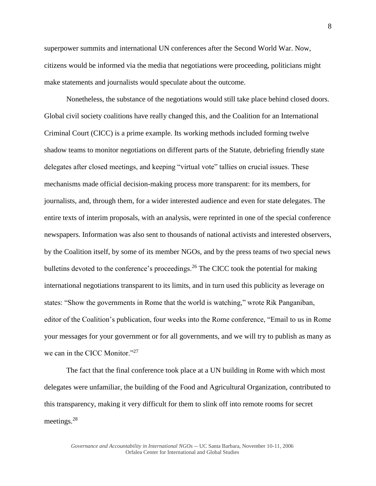superpower summits and international UN conferences after the Second World War. Now, citizens would be informed via the media that negotiations were proceeding, politicians might make statements and journalists would speculate about the outcome.

Nonetheless, the substance of the negotiations would still take place behind closed doors. Global civil society coalitions have really changed this, and the Coalition for an International Criminal Court (CICC) is a prime example. Its working methods included forming twelve shadow teams to monitor negotiations on different parts of the Statute, debriefing friendly state delegates after closed meetings, and keeping "virtual vote" tallies on crucial issues. These mechanisms made official decision-making process more transparent: for its members, for journalists, and, through them, for a wider interested audience and even for state delegates. The entire texts of interim proposals, with an analysis, were reprinted in one of the special conference newspapers. Information was also sent to thousands of national activists and interested observers, by the Coalition itself, by some of its member NGOs, and by the press teams of two special news bulletins devoted to the conference's proceedings.<sup>26</sup> The CICC took the potential for making international negotiations transparent to its limits, and in turn used this publicity as leverage on states: "Show the governments in Rome that the world is watching," wrote Rik Panganiban, editor of the Coalition's publication, four weeks into the Rome conference, "Email to us in Rome your messages for your government or for all governments, and we will try to publish as many as we can in the CICC Monitor."<sup>27</sup>

The fact that the final conference took place at a UN building in Rome with which most delegates were unfamiliar, the building of the Food and Agricultural Organization, contributed to this transparency, making it very difficult for them to slink off into remote rooms for secret meetings.<sup>28</sup>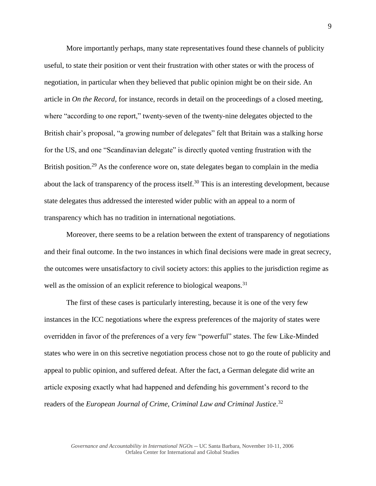More importantly perhaps, many state representatives found these channels of publicity useful, to state their position or vent their frustration with other states or with the process of negotiation, in particular when they believed that public opinion might be on their side. An article in *On the Record*, for instance, records in detail on the proceedings of a closed meeting, where "according to one report," twenty-seven of the twenty-nine delegates objected to the British chair's proposal, "a growing number of delegates" felt that Britain was a stalking horse for the US, and one "Scandinavian delegate" is directly quoted venting frustration with the British position.<sup>29</sup> As the conference wore on, state delegates began to complain in the media about the lack of transparency of the process itself.<sup>30</sup> This is an interesting development, because state delegates thus addressed the interested wider public with an appeal to a norm of transparency which has no tradition in international negotiations.

Moreover, there seems to be a relation between the extent of transparency of negotiations and their final outcome. In the two instances in which final decisions were made in great secrecy, the outcomes were unsatisfactory to civil society actors: this applies to the jurisdiction regime as well as the omission of an explicit reference to biological weapons.<sup>31</sup>

The first of these cases is particularly interesting, because it is one of the very few instances in the ICC negotiations where the express preferences of the majority of states were overridden in favor of the preferences of a very few "powerful" states. The few Like-Minded states who were in on this secretive negotiation process chose not to go the route of publicity and appeal to public opinion, and suffered defeat. After the fact, a German delegate did write an article exposing exactly what had happened and defending his government's record to the readers of the *European Journal of Crime, Criminal Law and Criminal Justice*. 32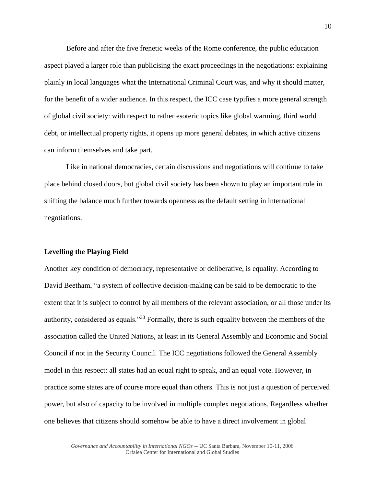Before and after the five frenetic weeks of the Rome conference, the public education aspect played a larger role than publicising the exact proceedings in the negotiations: explaining plainly in local languages what the International Criminal Court was, and why it should matter, for the benefit of a wider audience. In this respect, the ICC case typifies a more general strength of global civil society: with respect to rather esoteric topics like global warming, third world debt, or intellectual property rights, it opens up more general debates, in which active citizens can inform themselves and take part.

Like in national democracies, certain discussions and negotiations will continue to take place behind closed doors, but global civil society has been shown to play an important role in shifting the balance much further towards openness as the default setting in international negotiations.

## **Levelling the Playing Field**

Another key condition of democracy, representative or deliberative, is equality. According to David Beetham, "a system of collective decision-making can be said to be democratic to the extent that it is subject to control by all members of the relevant association, or all those under its authority, considered as equals."<sup>33</sup> Formally, there is such equality between the members of the association called the United Nations, at least in its General Assembly and Economic and Social Council if not in the Security Council. The ICC negotiations followed the General Assembly model in this respect: all states had an equal right to speak, and an equal vote. However, in practice some states are of course more equal than others. This is not just a question of perceived power, but also of capacity to be involved in multiple complex negotiations. Regardless whether one believes that citizens should somehow be able to have a direct involvement in global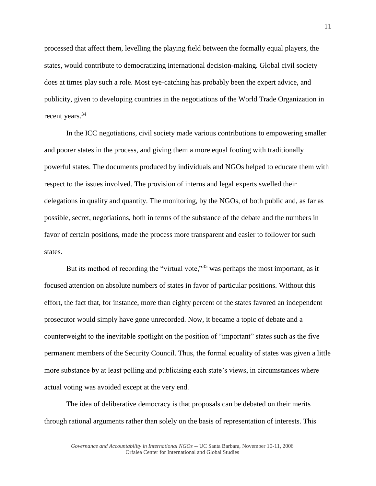processed that affect them, levelling the playing field between the formally equal players, the states, would contribute to democratizing international decision-making. Global civil society does at times play such a role. Most eye-catching has probably been the expert advice, and publicity, given to developing countries in the negotiations of the World Trade Organization in recent years.<sup>34</sup>

In the ICC negotiations, civil society made various contributions to empowering smaller and poorer states in the process, and giving them a more equal footing with traditionally powerful states. The documents produced by individuals and NGOs helped to educate them with respect to the issues involved. The provision of interns and legal experts swelled their delegations in quality and quantity. The monitoring, by the NGOs, of both public and, as far as possible, secret, negotiations, both in terms of the substance of the debate and the numbers in favor of certain positions, made the process more transparent and easier to follower for such states.

But its method of recording the "virtual vote,"<sup>35</sup> was perhaps the most important, as it focused attention on absolute numbers of states in favor of particular positions. Without this effort, the fact that, for instance, more than eighty percent of the states favored an independent prosecutor would simply have gone unrecorded. Now, it became a topic of debate and a counterweight to the inevitable spotlight on the position of "important" states such as the five permanent members of the Security Council. Thus, the formal equality of states was given a little more substance by at least polling and publicising each state's views, in circumstances where actual voting was avoided except at the very end.

The idea of deliberative democracy is that proposals can be debated on their merits through rational arguments rather than solely on the basis of representation of interests. This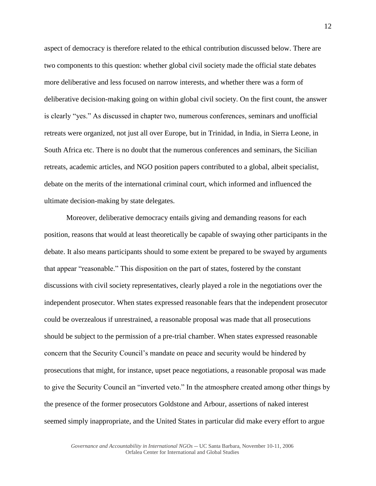aspect of democracy is therefore related to the ethical contribution discussed below. There are two components to this question: whether global civil society made the official state debates more deliberative and less focused on narrow interests, and whether there was a form of deliberative decision-making going on within global civil society. On the first count, the answer is clearly "yes." As discussed in chapter two, numerous conferences, seminars and unofficial retreats were organized, not just all over Europe, but in Trinidad, in India, in Sierra Leone, in South Africa etc. There is no doubt that the numerous conferences and seminars, the Sicilian retreats, academic articles, and NGO position papers contributed to a global, albeit specialist, debate on the merits of the international criminal court, which informed and influenced the ultimate decision-making by state delegates.

Moreover, deliberative democracy entails giving and demanding reasons for each position, reasons that would at least theoretically be capable of swaying other participants in the debate. It also means participants should to some extent be prepared to be swayed by arguments that appear "reasonable." This disposition on the part of states, fostered by the constant discussions with civil society representatives, clearly played a role in the negotiations over the independent prosecutor. When states expressed reasonable fears that the independent prosecutor could be overzealous if unrestrained, a reasonable proposal was made that all prosecutions should be subject to the permission of a pre-trial chamber. When states expressed reasonable concern that the Security Council's mandate on peace and security would be hindered by prosecutions that might, for instance, upset peace negotiations, a reasonable proposal was made to give the Security Council an "inverted veto." In the atmosphere created among other things by the presence of the former prosecutors Goldstone and Arbour, assertions of naked interest seemed simply inappropriate, and the United States in particular did make every effort to argue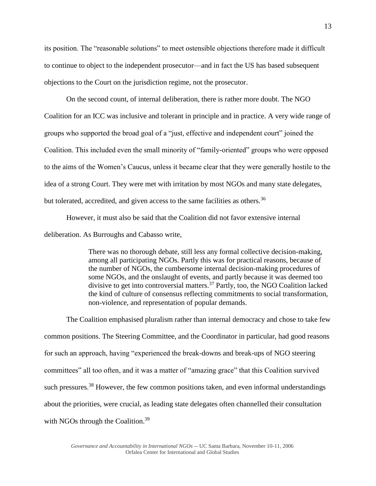its position. The "reasonable solutions" to meet ostensible objections therefore made it difficult to continue to object to the independent prosecutor—and in fact the US has based subsequent objections to the Court on the jurisdiction regime, not the prosecutor.

On the second count, of internal deliberation, there is rather more doubt. The NGO Coalition for an ICC was inclusive and tolerant in principle and in practice. A very wide range of groups who supported the broad goal of a "just, effective and independent court" joined the Coalition. This included even the small minority of "family-oriented" groups who were opposed to the aims of the Women's Caucus, unless it became clear that they were generally hostile to the idea of a strong Court. They were met with irritation by most NGOs and many state delegates, but tolerated, accredited, and given access to the same facilities as others.<sup>36</sup>

However, it must also be said that the Coalition did not favor extensive internal deliberation. As Burroughs and Cabasso write,

> There was no thorough debate, still less any formal collective decision-making, among all participating NGOs. Partly this was for practical reasons, because of the number of NGOs, the cumbersome internal decision-making procedures of some NGOs, and the onslaught of events, and partly because it was deemed too divisive to get into controversial matters.<sup>37</sup> Partly, too, the NGO Coalition lacked the kind of culture of consensus reflecting commitments to social transformation, non-violence, and representation of popular demands.

The Coalition emphasised pluralism rather than internal democracy and chose to take few common positions. The Steering Committee, and the Coordinator in particular, had good reasons for such an approach, having "experienced the break-downs and break-ups of NGO steering committees" all too often, and it was a matter of "amazing grace" that this Coalition survived such pressures.<sup>38</sup> However, the few common positions taken, and even informal understandings about the priorities, were crucial, as leading state delegates often channelled their consultation with NGOs through the Coalition.<sup>39</sup>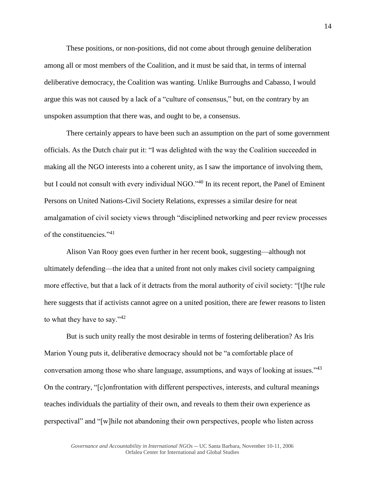These positions, or non-positions, did not come about through genuine deliberation among all or most members of the Coalition, and it must be said that, in terms of internal deliberative democracy, the Coalition was wanting. Unlike Burroughs and Cabasso, I would argue this was not caused by a lack of a "culture of consensus," but, on the contrary by an unspoken assumption that there was, and ought to be, a consensus.

There certainly appears to have been such an assumption on the part of some government officials. As the Dutch chair put it: "I was delighted with the way the Coalition succeeded in making all the NGO interests into a coherent unity, as I saw the importance of involving them, but I could not consult with every individual NGO."<sup>40</sup> In its recent report, the Panel of Eminent Persons on United Nations-Civil Society Relations, expresses a similar desire for neat amalgamation of civil society views through "disciplined networking and peer review processes of the constituencies."<sup>41</sup>

Alison Van Rooy goes even further in her recent book, suggesting—although not ultimately defending—the idea that a united front not only makes civil society campaigning more effective, but that a lack of it detracts from the moral authority of civil society: "[t]he rule here suggests that if activists cannot agree on a united position, there are fewer reasons to listen to what they have to say."<sup>42</sup>

But is such unity really the most desirable in terms of fostering deliberation? As Iris Marion Young puts it, deliberative democracy should not be "a comfortable place of conversation among those who share language, assumptions, and ways of looking at issues."<sup>43</sup> On the contrary, "[c]onfrontation with different perspectives, interests, and cultural meanings teaches individuals the partiality of their own, and reveals to them their own experience as perspectival" and "[w]hile not abandoning their own perspectives, people who listen across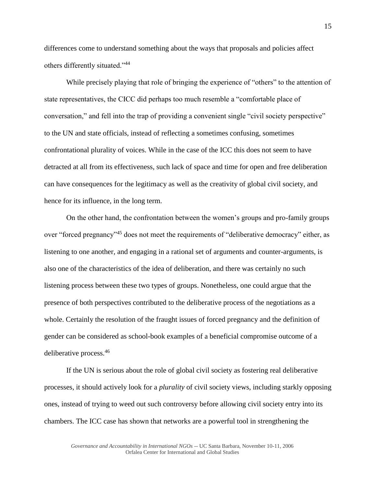differences come to understand something about the ways that proposals and policies affect others differently situated."<sup>44</sup>

While precisely playing that role of bringing the experience of "others" to the attention of state representatives, the CICC did perhaps too much resemble a "comfortable place of conversation," and fell into the trap of providing a convenient single "civil society perspective" to the UN and state officials, instead of reflecting a sometimes confusing, sometimes confrontational plurality of voices. While in the case of the ICC this does not seem to have detracted at all from its effectiveness, such lack of space and time for open and free deliberation can have consequences for the legitimacy as well as the creativity of global civil society, and hence for its influence, in the long term.

On the other hand, the confrontation between the women's groups and pro-family groups over "forced pregnancy"<sup>45</sup> does not meet the requirements of "deliberative democracy" either, as listening to one another, and engaging in a rational set of arguments and counter-arguments, is also one of the characteristics of the idea of deliberation, and there was certainly no such listening process between these two types of groups. Nonetheless, one could argue that the presence of both perspectives contributed to the deliberative process of the negotiations as a whole. Certainly the resolution of the fraught issues of forced pregnancy and the definition of gender can be considered as school-book examples of a beneficial compromise outcome of a deliberative process.<sup>46</sup>

If the UN is serious about the role of global civil society as fostering real deliberative processes, it should actively look for a *plurality* of civil society views, including starkly opposing ones, instead of trying to weed out such controversy before allowing civil society entry into its chambers. The ICC case has shown that networks are a powerful tool in strengthening the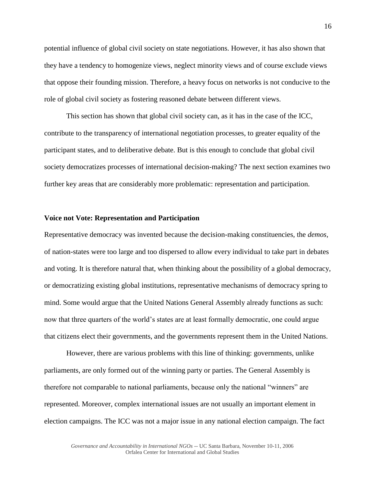potential influence of global civil society on state negotiations. However, it has also shown that they have a tendency to homogenize views, neglect minority views and of course exclude views that oppose their founding mission. Therefore, a heavy focus on networks is not conducive to the role of global civil society as fostering reasoned debate between different views.

This section has shown that global civil society can, as it has in the case of the ICC, contribute to the transparency of international negotiation processes, to greater equality of the participant states, and to deliberative debate. But is this enough to conclude that global civil society democratizes processes of international decision-making? The next section examines two further key areas that are considerably more problematic: representation and participation.

## **Voice not Vote: Representation and Participation**

Representative democracy was invented because the decision-making constituencies, the *demos,* of nation-states were too large and too dispersed to allow every individual to take part in debates and voting. It is therefore natural that, when thinking about the possibility of a global democracy, or democratizing existing global institutions, representative mechanisms of democracy spring to mind. Some would argue that the United Nations General Assembly already functions as such: now that three quarters of the world's states are at least formally democratic, one could argue that citizens elect their governments, and the governments represent them in the United Nations.

However, there are various problems with this line of thinking: governments, unlike parliaments, are only formed out of the winning party or parties. The General Assembly is therefore not comparable to national parliaments, because only the national "winners" are represented. Moreover, complex international issues are not usually an important element in election campaigns. The ICC was not a major issue in any national election campaign. The fact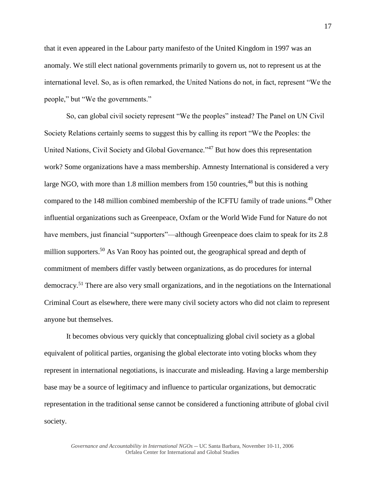that it even appeared in the Labour party manifesto of the United Kingdom in 1997 was an anomaly. We still elect national governments primarily to govern us, not to represent us at the international level. So, as is often remarked, the United Nations do not, in fact, represent "We the people," but "We the governments."

So, can global civil society represent "We the peoples" instead? The Panel on UN Civil Society Relations certainly seems to suggest this by calling its report "We the Peoples: the United Nations, Civil Society and Global Governance."<sup>47</sup> But how does this representation work? Some organizations have a mass membership. Amnesty International is considered a very large NGO, with more than 1.8 million members from 150 countries,  $48$  but this is nothing compared to the 148 million combined membership of the ICFTU family of trade unions.<sup>49</sup> Other influential organizations such as Greenpeace, Oxfam or the World Wide Fund for Nature do not have members, just financial "supporters"—although Greenpeace does claim to speak for its 2.8 million supporters.<sup>50</sup> As Van Rooy has pointed out, the geographical spread and depth of commitment of members differ vastly between organizations, as do procedures for internal democracy.<sup>51</sup> There are also very small organizations, and in the negotiations on the International Criminal Court as elsewhere, there were many civil society actors who did not claim to represent anyone but themselves.

It becomes obvious very quickly that conceptualizing global civil society as a global equivalent of political parties, organising the global electorate into voting blocks whom they represent in international negotiations, is inaccurate and misleading. Having a large membership base may be a source of legitimacy and influence to particular organizations, but democratic representation in the traditional sense cannot be considered a functioning attribute of global civil society.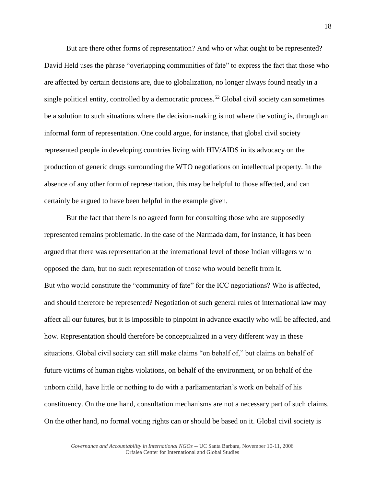But are there other forms of representation? And who or what ought to be represented? David Held uses the phrase "overlapping communities of fate" to express the fact that those who are affected by certain decisions are, due to globalization, no longer always found neatly in a single political entity, controlled by a democratic process.<sup>52</sup> Global civil society can sometimes be a solution to such situations where the decision-making is not where the voting is, through an informal form of representation. One could argue, for instance, that global civil society represented people in developing countries living with HIV/AIDS in its advocacy on the production of generic drugs surrounding the WTO negotiations on intellectual property. In the absence of any other form of representation, this may be helpful to those affected, and can certainly be argued to have been helpful in the example given.

But the fact that there is no agreed form for consulting those who are supposedly represented remains problematic. In the case of the Narmada dam, for instance, it has been argued that there was representation at the international level of those Indian villagers who opposed the dam, but no such representation of those who would benefit from it. But who would constitute the "community of fate" for the ICC negotiations? Who is affected, and should therefore be represented? Negotiation of such general rules of international law may affect all our futures, but it is impossible to pinpoint in advance exactly who will be affected, and how. Representation should therefore be conceptualized in a very different way in these situations. Global civil society can still make claims "on behalf of," but claims on behalf of future victims of human rights violations, on behalf of the environment, or on behalf of the unborn child, have little or nothing to do with a parliamentarian's work on behalf of his constituency. On the one hand, consultation mechanisms are not a necessary part of such claims. On the other hand, no formal voting rights can or should be based on it. Global civil society is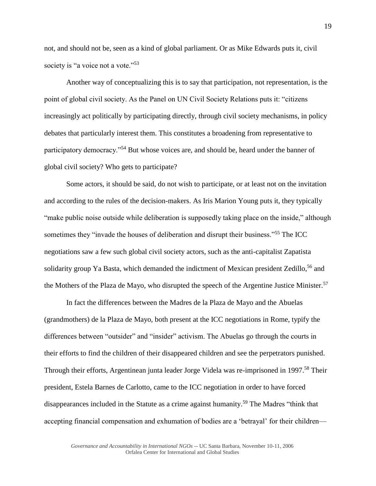not, and should not be, seen as a kind of global parliament. Or as Mike Edwards puts it, civil society is "a voice not a vote."<sup>53</sup>

Another way of conceptualizing this is to say that participation, not representation, is the point of global civil society. As the Panel on UN Civil Society Relations puts it: "citizens increasingly act politically by participating directly, through civil society mechanisms, in policy debates that particularly interest them. This constitutes a broadening from representative to participatory democracy."<sup>54</sup> But whose voices are, and should be, heard under the banner of global civil society? Who gets to participate?

Some actors, it should be said, do not wish to participate, or at least not on the invitation and according to the rules of the decision-makers. As Iris Marion Young puts it, they typically "make public noise outside while deliberation is supposedly taking place on the inside," although sometimes they "invade the houses of deliberation and disrupt their business."<sup>55</sup> The ICC negotiations saw a few such global civil society actors, such as the anti-capitalist Zapatista solidarity group Ya Basta, which demanded the indictment of Mexican president Zedillo,<sup>56</sup> and the Mothers of the Plaza de Mayo, who disrupted the speech of the Argentine Justice Minister.<sup>57</sup>

In fact the differences between the Madres de la Plaza de Mayo and the Abuelas (grandmothers) de la Plaza de Mayo, both present at the ICC negotiations in Rome, typify the differences between "outsider" and "insider" activism. The Abuelas go through the courts in their efforts to find the children of their disappeared children and see the perpetrators punished. Through their efforts, Argentinean junta leader Jorge Videla was re-imprisoned in 1997.<sup>58</sup> Their president, Estela Barnes de Carlotto, came to the ICC negotiation in order to have forced disappearances included in the Statute as a crime against humanity.<sup>59</sup> The Madres "think that accepting financial compensation and exhumation of bodies are a 'betrayal' for their children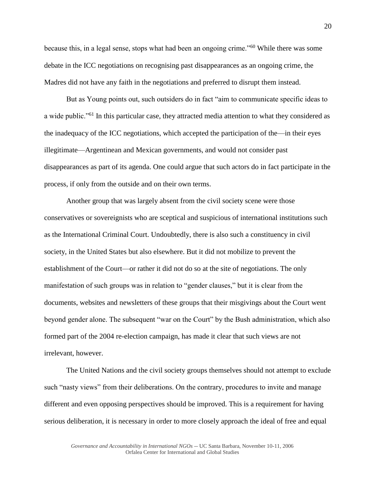because this, in a legal sense, stops what had been an ongoing crime."<sup>60</sup> While there was some debate in the ICC negotiations on recognising past disappearances as an ongoing crime, the Madres did not have any faith in the negotiations and preferred to disrupt them instead.

But as Young points out, such outsiders do in fact "aim to communicate specific ideas to a wide public."<sup>61</sup> In this particular case, they attracted media attention to what they considered as the inadequacy of the ICC negotiations, which accepted the participation of the—in their eyes illegitimate—Argentinean and Mexican governments, and would not consider past disappearances as part of its agenda. One could argue that such actors do in fact participate in the process, if only from the outside and on their own terms.

Another group that was largely absent from the civil society scene were those conservatives or sovereignists who are sceptical and suspicious of international institutions such as the International Criminal Court. Undoubtedly, there is also such a constituency in civil society, in the United States but also elsewhere. But it did not mobilize to prevent the establishment of the Court—or rather it did not do so at the site of negotiations. The only manifestation of such groups was in relation to "gender clauses," but it is clear from the documents, websites and newsletters of these groups that their misgivings about the Court went beyond gender alone. The subsequent "war on the Court" by the Bush administration, which also formed part of the 2004 re-election campaign, has made it clear that such views are not irrelevant, however.

The United Nations and the civil society groups themselves should not attempt to exclude such "nasty views" from their deliberations. On the contrary, procedures to invite and manage different and even opposing perspectives should be improved. This is a requirement for having serious deliberation, it is necessary in order to more closely approach the ideal of free and equal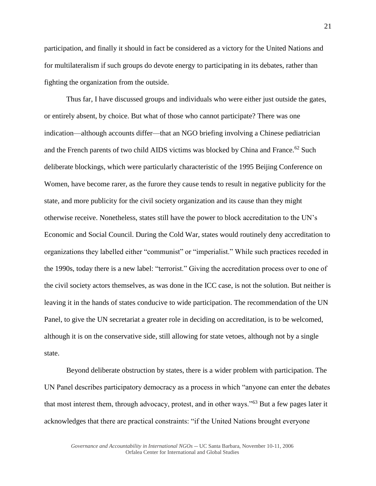participation, and finally it should in fact be considered as a victory for the United Nations and for multilateralism if such groups do devote energy to participating in its debates, rather than fighting the organization from the outside.

Thus far, I have discussed groups and individuals who were either just outside the gates, or entirely absent, by choice. But what of those who cannot participate? There was one indication—although accounts differ—that an NGO briefing involving a Chinese pediatrician and the French parents of two child AIDS victims was blocked by China and France.<sup>62</sup> Such deliberate blockings, which were particularly characteristic of the 1995 Beijing Conference on Women, have become rarer, as the furore they cause tends to result in negative publicity for the state, and more publicity for the civil society organization and its cause than they might otherwise receive. Nonetheless, states still have the power to block accreditation to the UN's Economic and Social Council. During the Cold War, states would routinely deny accreditation to organizations they labelled either "communist" or "imperialist." While such practices receded in the 1990s, today there is a new label: "terrorist." Giving the accreditation process over to one of the civil society actors themselves, as was done in the ICC case, is not the solution. But neither is leaving it in the hands of states conducive to wide participation. The recommendation of the UN Panel, to give the UN secretariat a greater role in deciding on accreditation, is to be welcomed, although it is on the conservative side, still allowing for state vetoes, although not by a single state.

Beyond deliberate obstruction by states, there is a wider problem with participation. The UN Panel describes participatory democracy as a process in which "anyone can enter the debates that most interest them, through advocacy, protest, and in other ways."<sup>63</sup> But a few pages later it acknowledges that there are practical constraints: "if the United Nations brought everyone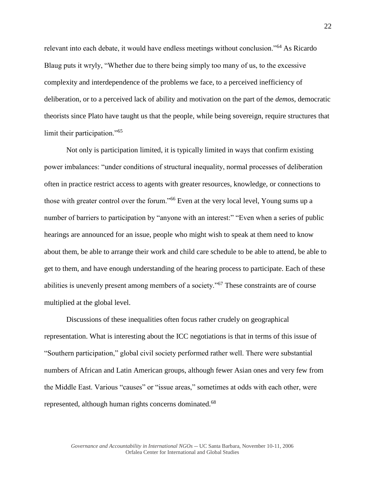relevant into each debate, it would have endless meetings without conclusion."<sup>64</sup> As Ricardo Blaug puts it wryly, "Whether due to there being simply too many of us, to the excessive complexity and interdependence of the problems we face, to a perceived inefficiency of deliberation, or to a perceived lack of ability and motivation on the part of the *demos*, democratic theorists since Plato have taught us that the people, while being sovereign, require structures that limit their participation."<sup>65</sup>

Not only is participation limited, it is typically limited in ways that confirm existing power imbalances: "under conditions of structural inequality, normal processes of deliberation often in practice restrict access to agents with greater resources, knowledge, or connections to those with greater control over the forum."<sup>66</sup> Even at the very local level, Young sums up a number of barriers to participation by "anyone with an interest:" "Even when a series of public hearings are announced for an issue, people who might wish to speak at them need to know about them, be able to arrange their work and child care schedule to be able to attend, be able to get to them, and have enough understanding of the hearing process to participate. Each of these abilities is unevenly present among members of a society."<sup>67</sup> These constraints are of course multiplied at the global level.

Discussions of these inequalities often focus rather crudely on geographical representation. What is interesting about the ICC negotiations is that in terms of this issue of "Southern participation," global civil society performed rather well. There were substantial numbers of African and Latin American groups, although fewer Asian ones and very few from the Middle East. Various "causes" or "issue areas," sometimes at odds with each other, were represented, although human rights concerns dominated.<sup>68</sup>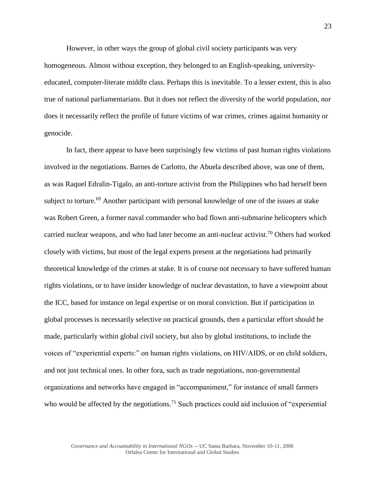However, in other ways the group of global civil society participants was very homogeneous. Almost without exception, they belonged to an English-speaking, universityeducated, computer-literate middle class. Perhaps this is inevitable. To a lesser extent, this is also true of national parliamentarians. But it does not reflect the diversity of the world population, nor does it necessarily reflect the profile of future victims of war crimes, crimes against humanity or genocide.

In fact, there appear to have been surprisingly few victims of past human rights violations involved in the negotiations. Barnes de Carlotto, the Abuela described above, was one of them, as was Raquel Edralin-Tigalo, an anti-torture activist from the Philippines who had herself been subject to torture.<sup>69</sup> Another participant with personal knowledge of one of the issues at stake was Robert Green, a former naval commander who had flown anti-submarine helicopters which carried nuclear weapons, and who had later become an anti-nuclear activist.<sup>70</sup> Others had worked closely with victims, but most of the legal experts present at the negotiations had primarily theoretical knowledge of the crimes at stake. It is of course not necessary to have suffered human rights violations, or to have insider knowledge of nuclear devastation, to have a viewpoint about the ICC, based for instance on legal expertise or on moral conviction. But if participation in global processes is necessarily selective on practical grounds, then a particular effort should be made, particularly within global civil society, but also by global institutions, to include the voices of "experiential experts:" on human rights violations, on HIV/AIDS, or on child soldiers, and not just technical ones. In other fora, such as trade negotiations, non-governmental organizations and networks have engaged in "accompaniment," for instance of small farmers who would be affected by the negotiations.<sup>71</sup> Such practices could aid inclusion of "experiential"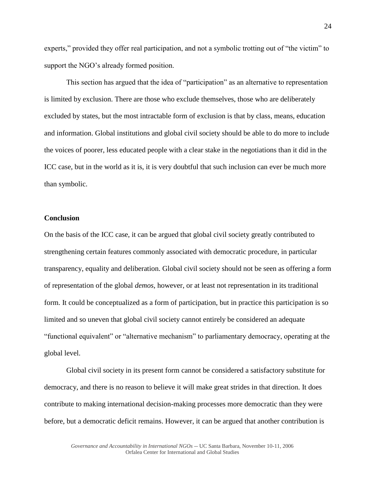experts," provided they offer real participation, and not a symbolic trotting out of "the victim" to support the NGO's already formed position.

This section has argued that the idea of "participation" as an alternative to representation is limited by exclusion. There are those who exclude themselves, those who are deliberately excluded by states, but the most intractable form of exclusion is that by class, means, education and information. Global institutions and global civil society should be able to do more to include the voices of poorer, less educated people with a clear stake in the negotiations than it did in the ICC case, but in the world as it is, it is very doubtful that such inclusion can ever be much more than symbolic.

## **Conclusion**

On the basis of the ICC case, it can be argued that global civil society greatly contributed to strengthening certain features commonly associated with democratic procedure, in particular transparency, equality and deliberation. Global civil society should not be seen as offering a form of representation of the global *demos*, however, or at least not representation in its traditional form. It could be conceptualized as a form of participation, but in practice this participation is so limited and so uneven that global civil society cannot entirely be considered an adequate "functional equivalent" or "alternative mechanism" to parliamentary democracy, operating at the global level.

Global civil society in its present form cannot be considered a satisfactory substitute for democracy, and there is no reason to believe it will make great strides in that direction. It does contribute to making international decision-making processes more democratic than they were before, but a democratic deficit remains. However, it can be argued that another contribution is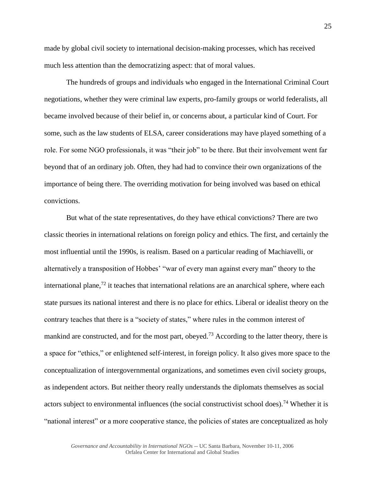made by global civil society to international decision-making processes, which has received much less attention than the democratizing aspect: that of moral values.

The hundreds of groups and individuals who engaged in the International Criminal Court negotiations, whether they were criminal law experts, pro-family groups or world federalists, all became involved because of their belief in, or concerns about, a particular kind of Court. For some, such as the law students of ELSA, career considerations may have played something of a role. For some NGO professionals, it was "their job" to be there. But their involvement went far beyond that of an ordinary job. Often, they had had to convince their own organizations of the importance of being there. The overriding motivation for being involved was based on ethical convictions.

But what of the state representatives, do they have ethical convictions? There are two classic theories in international relations on foreign policy and ethics. The first, and certainly the most influential until the 1990s, is realism. Based on a particular reading of Machiavelli, or alternatively a transposition of Hobbes' "war of every man against every man" theory to the international plane, $^{72}$  it teaches that international relations are an anarchical sphere, where each state pursues its national interest and there is no place for ethics. Liberal or idealist theory on the contrary teaches that there is a "society of states," where rules in the common interest of mankind are constructed, and for the most part, obeyed.<sup>73</sup> According to the latter theory, there is a space for "ethics," or enlightened self-interest, in foreign policy. It also gives more space to the conceptualization of intergovernmental organizations, and sometimes even civil society groups, as independent actors. But neither theory really understands the diplomats themselves as social actors subject to environmental influences (the social constructivist school does).<sup>74</sup> Whether it is "national interest" or a more cooperative stance, the policies of states are conceptualized as holy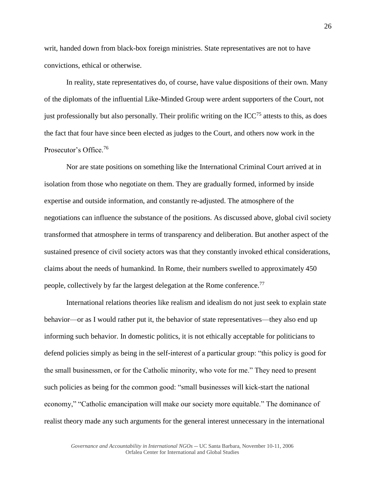writ, handed down from black-box foreign ministries. State representatives are not to have convictions, ethical or otherwise.

In reality, state representatives do, of course, have value dispositions of their own. Many of the diplomats of the influential Like-Minded Group were ardent supporters of the Court, not just professionally but also personally. Their prolific writing on the  $ICC^{75}$  attests to this, as does the fact that four have since been elected as judges to the Court, and others now work in the Prosecutor's Office.<sup>76</sup>

Nor are state positions on something like the International Criminal Court arrived at in isolation from those who negotiate on them. They are gradually formed, informed by inside expertise and outside information, and constantly re-adjusted. The atmosphere of the negotiations can influence the substance of the positions. As discussed above, global civil society transformed that atmosphere in terms of transparency and deliberation. But another aspect of the sustained presence of civil society actors was that they constantly invoked ethical considerations, claims about the needs of humankind. In Rome, their numbers swelled to approximately 450 people, collectively by far the largest delegation at the Rome conference.<sup>77</sup>

International relations theories like realism and idealism do not just seek to explain state behavior—or as I would rather put it, the behavior of state representatives—they also end up informing such behavior. In domestic politics, it is not ethically acceptable for politicians to defend policies simply as being in the self-interest of a particular group: "this policy is good for the small businessmen, or for the Catholic minority, who vote for me." They need to present such policies as being for the common good: "small businesses will kick-start the national economy," "Catholic emancipation will make our society more equitable." The dominance of realist theory made any such arguments for the general interest unnecessary in the international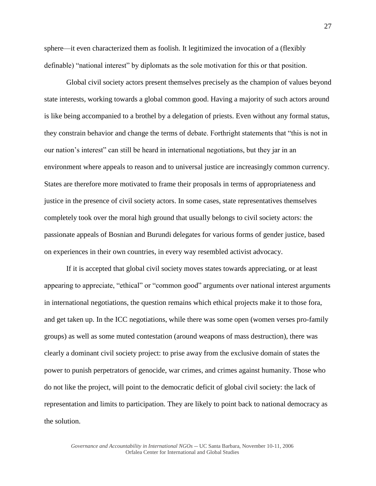sphere—it even characterized them as foolish. It legitimized the invocation of a (flexibly definable) "national interest" by diplomats as the sole motivation for this or that position.

Global civil society actors present themselves precisely as the champion of values beyond state interests, working towards a global common good. Having a majority of such actors around is like being accompanied to a brothel by a delegation of priests. Even without any formal status, they constrain behavior and change the terms of debate. Forthright statements that "this is not in our nation's interest" can still be heard in international negotiations, but they jar in an environment where appeals to reason and to universal justice are increasingly common currency. States are therefore more motivated to frame their proposals in terms of appropriateness and justice in the presence of civil society actors. In some cases, state representatives themselves completely took over the moral high ground that usually belongs to civil society actors: the passionate appeals of Bosnian and Burundi delegates for various forms of gender justice, based on experiences in their own countries, in every way resembled activist advocacy.

If it is accepted that global civil society moves states towards appreciating, or at least appearing to appreciate, "ethical" or "common good" arguments over national interest arguments in international negotiations, the question remains which ethical projects make it to those fora, and get taken up. In the ICC negotiations, while there was some open (women verses pro-family groups) as well as some muted contestation (around weapons of mass destruction), there was clearly a dominant civil society project: to prise away from the exclusive domain of states the power to punish perpetrators of genocide, war crimes, and crimes against humanity. Those who do not like the project, will point to the democratic deficit of global civil society: the lack of representation and limits to participation. They are likely to point back to national democracy as the solution.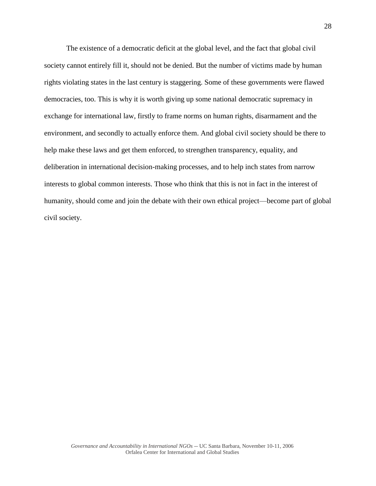The existence of a democratic deficit at the global level, and the fact that global civil society cannot entirely fill it, should not be denied. But the number of victims made by human rights violating states in the last century is staggering. Some of these governments were flawed democracies, too. This is why it is worth giving up some national democratic supremacy in exchange for international law, firstly to frame norms on human rights, disarmament and the environment, and secondly to actually enforce them. And global civil society should be there to help make these laws and get them enforced, to strengthen transparency, equality, and deliberation in international decision-making processes, and to help inch states from narrow interests to global common interests. Those who think that this is not in fact in the interest of humanity, should come and join the debate with their own ethical project—become part of global civil society.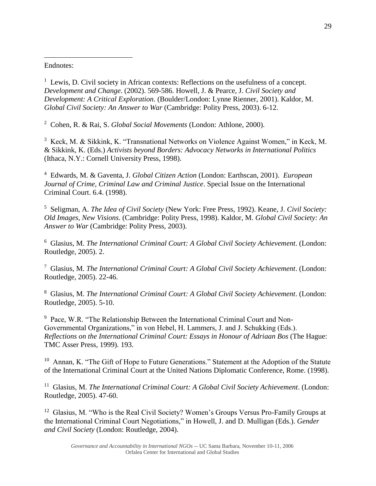Endnotes:  $\overline{a}$ 

<sup>1</sup> Lewis, D. Civil society in African contexts: Reflections on the usefulness of a concept. *Development and Change*. (2002). 569-586. Howell, J. & Pearce, J. *Civil Society and Development: A Critical Exploration*. (Boulder/London: Lynne Rienner, 2001). Kaldor, M. *Global Civil Society: An Answer to War* (Cambridge: Polity Press, 2003). 6-12.

2 Cohen, R. & Rai, S. *Global Social Movements* (London: Athlone, 2000).

<sup>3</sup> Keck, M. & Sikkink, K. "Transnational Networks on Violence Against Women," in Keck, M. & Sikkink, K. (Eds.) *Activists beyond Borders: Advocacy Networks in International Politics* (Ithaca, N.Y.: Cornell University Press, 1998).

4 Edwards, M. & Gaventa, J. *Global Citizen Action* (London: Earthscan, 2001). *European Journal of Crime, Criminal Law and Criminal Justice*. Special Issue on the International Criminal Court. 6.4. (1998).

5 Seligman, A. *The Idea of Civil Society* (New York: Free Press, 1992). Keane, J. *Civil Society: Old Images, New Visions*. (Cambridge: Polity Press, 1998). Kaldor, M. *Global Civil Society: An Answer to War* (Cambridge: Polity Press, 2003).

6 Glasius, M. *The International Criminal Court: A Global Civil Society Achievement*. (London: Routledge, 2005). 2.

7 Glasius, M. *The International Criminal Court: A Global Civil Society Achievement*. (London: Routledge, 2005). 22-46.

8 Glasius, M. *The International Criminal Court: A Global Civil Society Achievement*. (London: Routledge, 2005). 5-10.

<sup>9</sup> Pace, W.R. "The Relationship Between the International Criminal Court and Non-Governmental Organizations," in von Hebel, H. Lammers, J. and J. Schukking (Eds.). *Reflections on the International Criminal Court: Essays in Honour of Adriaan Bos* (The Hague: TMC Asser Press, 1999). 193.

<sup>10</sup> Annan, K. "The Gift of Hope to Future Generations." Statement at the Adoption of the Statute of the International Criminal Court at the United Nations Diplomatic Conference, Rome. (1998).

<sup>11</sup> Glasius, M. *The International Criminal Court: A Global Civil Society Achievement*. (London: Routledge, 2005). 47-60.

<sup>12</sup> Glasius, M. "Who is the Real Civil Society? Women's Groups Versus Pro-Family Groups at the International Criminal Court Negotiations," in Howell, J. and D. Mulligan (Eds.). *Gender and Civil Society* (London: Routledge, 2004).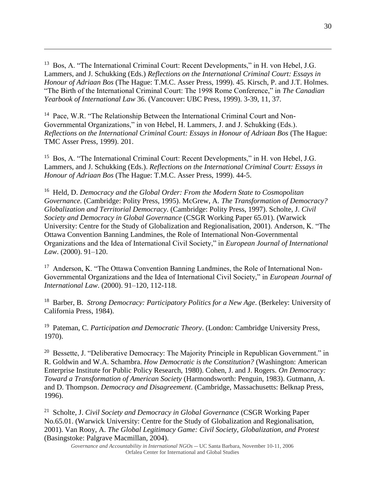<sup>13</sup> Bos, A. "The International Criminal Court: Recent Developments," in H. von Hebel, J.G. Lammers, and J. Schukking (Eds.) *Reflections on the International Criminal Court: Essays in Honour of Adriaan Bos* (The Hague: T.M.C. Asser Press, 1999). 45. Kirsch, P. and J.T. Holmes. "The Birth of the International Criminal Court: The 1998 Rome Conference," in *The Canadian Yearbook of International Law* 36. (Vancouver: UBC Press, 1999). 3-39, 11, 37.

 $\overline{a}$ 

<sup>14</sup> Pace, W.R. "The Relationship Between the International Criminal Court and Non-Governmental Organizations," in von Hebel, H. Lammers, J. and J. Schukking (Eds.). *Reflections on the International Criminal Court: Essays in Honour of Adriaan Bos* (The Hague: TMC Asser Press, 1999). 201.

<sup>15</sup> Bos, A. "The International Criminal Court: Recent Developments," in H. von Hebel, J.G. Lammers, and J. Schukking (Eds.). *Reflections on the International Criminal Court: Essays in Honour of Adriaan Bos* (The Hague: T.M.C. Asser Press, 1999). 44-5.

16 Held, D. *Democracy and the Global Order: From the Modern State to Cosmopolitan Governance.* (Cambridge: Polity Press, 1995). McGrew, A. *The Transformation of Democracy? Globalization and Territorial Democracy*. (Cambridge: Polity Press, 1997). Scholte, J. *Civil Society and Democracy in Global Governance* (CSGR Working Paper 65.01). (Warwick University: Centre for the Study of Globalization and Regionalisation, 2001). Anderson, K. "The Ottawa Convention Banning Landmines, the Role of International Non-Governmental Organizations and the Idea of International Civil Society," in *European Journal of International Law*. (2000). 91–120.

<sup>17</sup> Anderson, K. "The Ottawa Convention Banning Landmines, the Role of International Non-Governmental Organizations and the Idea of International Civil Society," in *European Journal of International Law*. (2000). 91–120, 112-118.

<sup>18</sup> Barber, B. *Strong Democracy: Participatory Politics for a New Age*. (Berkeley: University of California Press, 1984).

<sup>19</sup> Pateman, C. *Participation and Democratic Theory*. (London: Cambridge University Press, 1970).

<sup>20</sup> Bessette, J. "Deliberative Democracy: The Majority Principle in Republican Government." in R. Goldwin and W.A. Schambra. *How Democratic is the Constitution?* (Washington: American Enterprise Institute for Public Policy Research, 1980). Cohen, J. and J. Rogers. *On Democracy: Toward a Transformation of American Society* (Harmondsworth: Penguin, 1983). Gutmann, A. and D. Thompson. *Democracy and Disagreement*. (Cambridge, Massachusetts: Belknap Press, 1996).

<sup>21</sup> Scholte, J. *Civil Society and Democracy in Global Governance* (CSGR Working Paper No.65.01. (Warwick University: Centre for the Study of Globalization and Regionalisation, 2001). Van Rooy, A. *The Global Legitimacy Game: Civil Society, Globalization, and Protest* (Basingstoke: Palgrave Macmillan, 2004).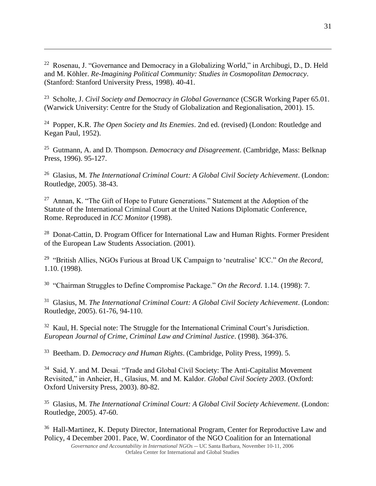<sup>22</sup> Rosenau, J. "Governance and Democracy in a Globalizing World," in Archibugi, D., D. Held and M. Köhler. *Re-Imagining Political Community: Studies in Cosmopolitan Democracy*. (Stanford: Stanford University Press, 1998). 40-41.

 $\overline{a}$ 

<sup>23</sup> Scholte, J. *Civil Society and Democracy in Global Governance* (CSGR Working Paper 65.01. (Warwick University: Centre for the Study of Globalization and Regionalisation, 2001). 15.

24 Popper, K.R. *The Open Society and Its Enemies*. 2nd ed. (revised) (London: Routledge and Kegan Paul, 1952).

25 Gutmann, A. and D. Thompson. *Democracy and Disagreement*. (Cambridge, Mass: Belknap Press, 1996). 95-127.

26 Glasius, M. *The International Criminal Court: A Global Civil Society Achievement*. (London: Routledge, 2005). 38-43.

<sup>27</sup> Annan, K. "The Gift of Hope to Future Generations." Statement at the Adoption of the Statute of the International Criminal Court at the United Nations Diplomatic Conference, Rome. Reproduced in *ICC Monitor* (1998).

<sup>28</sup> Donat-Cattin, D. Program Officer for International Law and Human Rights. Former President of the European Law Students Association. (2001).

29 "British Allies, NGOs Furious at Broad UK Campaign to 'neutralise' ICC." *On the Record*, 1.10. (1998).

30 "Chairman Struggles to Define Compromise Package." *On the Record*. 1.14. (1998): 7.

31 Glasius, M. *The International Criminal Court: A Global Civil Society Achievement*. (London: Routledge, 2005). 61-76, 94-110.

<sup>32</sup> Kaul, H. Special note: The Struggle for the International Criminal Court's Jurisdiction. *European Journal of Crime, Criminal Law and Criminal Justice*. (1998). 364-376.

33 Beetham. D. *Democracy and Human Rights*. (Cambridge, Polity Press, 1999). 5.

<sup>34</sup> Said, Y. and M. Desai. "Trade and Global Civil Society: The Anti-Capitalist Movement Revisited," in Anheier, H., Glasius, M. and M. Kaldor. *Global Civil Society 2003*. (Oxford: Oxford University Press, 2003). 80-82.

35 Glasius, M. *The International Criminal Court: A Global Civil Society Achievement*. (London: Routledge, 2005). 47-60.

<sup>36</sup> Hall-Martinez, K. Deputy Director, International Program, Center for Reproductive Law and Policy, 4 December 2001. Pace, W. Coordinator of the NGO Coalition for an International

*Governance and Accountability in International NGOs* -- UC Santa Barbara, November 10-11, 2006 Orfalea Center for International and Global Studies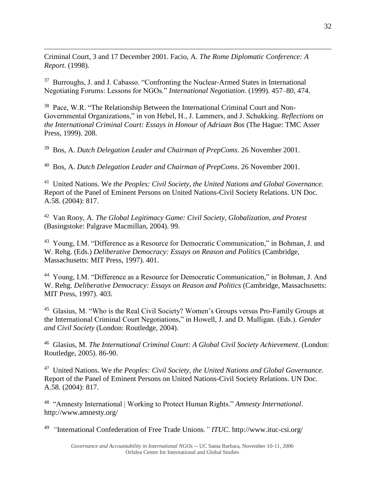Criminal Court, 3 and 17 December 2001. Facio, A. *The Rome Diplomatic Conference: A Report*. (1998).

 $\overline{a}$ 

<sup>37</sup> Burroughs, J. and J. Cabasso. "Confronting the Nuclear-Armed States in International Negotiating Forums: Lessons for NGOs." *International Negotiation*. (1999). 457–80, 474.

<sup>38</sup> Pace, W.R. "The Relationship Between the International Criminal Court and Non-Governmental Organizations," in von Hebel, H., J. Lammers, and J. Schukking. *Reflections on the International Criminal Court: Essays in Honour of Adriaan Bos* (The Hague: TMC Asser Press, 1999). 208.

39 Bos, A. *Dutch Delegation Leader and Chairman of PrepComs*. 26 November 2001.

40 Bos, A. *Dutch Delegation Leader and Chairman of PrepComs*. 26 November 2001.

41 United Nations. We *the Peoples: Civil Society, the United Nations and Global Governance*. Report of the Panel of Eminent Persons on United Nations-Civil Society Relations. UN Doc. A.58. (2004): 817.

42 Van Rooy, A. *The Global Legitimacy Game: Civil Society, Globalization, and Protest* (Basingstoke: Palgrave Macmillan, 2004). 99.

<sup>43</sup> Young, I.M. "Difference as a Resource for Democratic Communication," in Bohman, J. and W. Rehg. (Eds.) *Deliberative Democracy: Essays on Reason and Politics* (Cambridge, Massachusetts: MIT Press, 1997). 401.

<sup>44</sup> Young, I.M. "Difference as a Resource for Democratic Communication," in Bohman, J. And W. Rehg. *Deliberative Democracy: Essays on Reason and Politics* (Cambridge, Massachusetts: MIT Press, 1997). 403.

<sup>45</sup> Glasius, M. "Who is the Real Civil Society? Women's Groups versus Pro-Family Groups at the International Criminal Court Negotiations," in Howell, J. and D. Mulligan. (Eds.). *Gender and Civil Society* (London: Routledge, 2004).

46 Glasius, M. *The International Criminal Court: A Global Civil Society Achievement*. (London: Routledge, 2005). 86-90.

47 United Nations. We *the Peoples: Civil Society, the United Nations and Global Governance*. Report of the Panel of Eminent Persons on United Nations-Civil Society Relations. UN Doc. A.58. (2004): 817.

48 "Amnesty International | Working to Protect Human Rights." *Amnesty International*. http://www.amnesty.org/

49 *"*International Confederation of Free Trade Unions*." ITUC*. http://www.ituc-csi.org/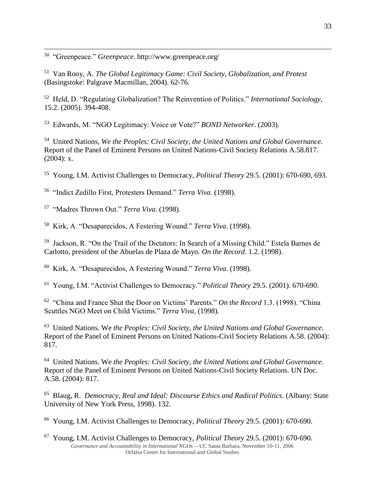50 "Greenpeace." *Greenpeace*. http://www.greenpeace.org/

 $\overline{a}$ 

51 Van Rooy, A. *The Global Legitimacy Game: Civil Society, Globalization, and Protest* (Basingstoke: Palgrave Macmillan, 2004). 62-76.

52 Held, D. "Regulating Globalization? The Reinvention of Politics." *International Sociology*, 15.2. (2005). 394-408.

53 Edwards, M. "NGO Legitimacy: Voice or Vote?" *BOND Networker*. (2003).

54 United Nations, *We the Peoples: Civil Society, the United Nations and Global Governance.* Report of the Panel of Eminent Persons on United Nations-Civil Society Relations A.58.817.  $(2004): x.$ 

55 Young, I.M. Activist Challenges to Democracy, *Political Theory* 29.5. (2001): 670-690, 693.

56 "Indict Zedillo First, Protesters Demand." *Terra Viva*. (1998).

57 "Madres Thrown Out." *Terra Viva*. (1998).

58 Kirk, A. "Desaparecidos, A Festering Wound." *Terra Viva*. (1998).

59 Jackson, R. "On the Trail of the Dictators: In Search of a Missing Child." Estela Barnes de Carlotto, president of the Abuelas de Plaza de Mayo. *On the Record*. 1.2. (1998).

60 Kirk, A. "Desaparecidos, A Festering Wound." *Terra Viva*. (1998).

61 Young, I.M. "Activist Challenges to Democracy." *Political Theory* 29.5. (2001). 670-690.

62 "China and France Shut the Door on Victims' Parents." *On the Record* 1.3. (1998). "China Scuttles NGO Meet on Child Victims." *Terra Viva*, (1998).

63 United Nations. We *the Peoples: Civil Society, the United Nations and Global Governance*. Report of the Panel of Eminent Persons on United Nations-Civil Society Relations A.58. (2004): 817.

64 United Nations. We *the Peoples: Civil Society, the United Nations and Global Governance*. Report of the Panel of Eminent Persons on United Nations-Civil Society Relations. UN Doc. A.58. (2004): 817.

65 Blaug, R. *Democracy, Real and Ideal: Discourse Ethics and Radical Politics*. (Albany: State University of New York Press, 1998). 132.

66 Young, I.M. Activist Challenges to Democracy, *Political Theory* 29.5. (2001): 670-690.

*Governance and Accountability in International NGOs* -- UC Santa Barbara, November 10-11, 2006 Orfalea Center for International and Global Studies 67 Young, I.M. Activist Challenges to Democracy, *Political Theory* 29.5. (2001): 670-690.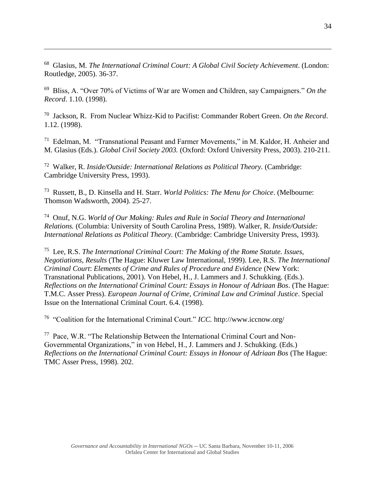68 Glasius, M. *The International Criminal Court: A Global Civil Society Achievement*. (London: Routledge, 2005). 36-37.

 $\overline{a}$ 

69 Bliss, A. "Over 70% of Victims of War are Women and Children, say Campaigners." *On the Record*. 1.10. (1998).

70 Jackson, R. From Nuclear Whizz-Kid to Pacifist: Commander Robert Green. *On the Record*. 1.12. (1998).

<sup>71</sup> Edelman, M. "Transnational Peasant and Farmer Movements," in M. Kaldor, H. Anheier and M. Glasius (Eds.). *Global Civil Society 2003.* (Oxford: Oxford University Press, 2003). 210-211.

72 Walker, R. *Inside/Outside: International Relations as Political Theory.* (Cambridge: Cambridge University Press, 1993).

73 Russett, B., D. Kinsella and H. Starr. *World Politics: The Menu for Choice*. (Melbourne: Thomson Wadsworth, 2004). 25-27.

74 Onuf, N.G. *World of Our Making: Rules and Rule in Social Theory and International Relations.* (Columbia: University of South Carolina Press, 1989). Walker, R. *Inside/Outside: International Relations as Political Theory.* (Cambridge: Cambridge University Press, 1993).

75 Lee, R.S. *The International Criminal Court: The Making of the Rome Statute. Issues, Negotiations, Results* (The Hague: Kluwer Law International, 1999). Lee, R.S. *The International Criminal Court*: *Elements of Crime and Rules of Procedure and Evidence* (New York: Transnational Publications, 2001). Von Hebel, H., J. Lammers and J. Schukking. (Eds.). *Reflections on the International Criminal Court: Essays in Honour of Adriaan Bos*. (The Hague: T.M.C. Asser Press). *European Journal of Crime, Criminal Law and Criminal Justice*. Special Issue on the International Criminal Court. 6.4. (1998).

76 "Coalition for the International Criminal Court." *ICC.* http://www.iccnow.org/

<sup>77</sup> Pace, W.R. "The Relationship Between the International Criminal Court and Non-Governmental Organizations," in von Hebel, H., J. Lammers and J. Schukking. (Eds.) *Reflections on the International Criminal Court: Essays in Honour of Adriaan Bos* (The Hague: TMC Asser Press, 1998). 202.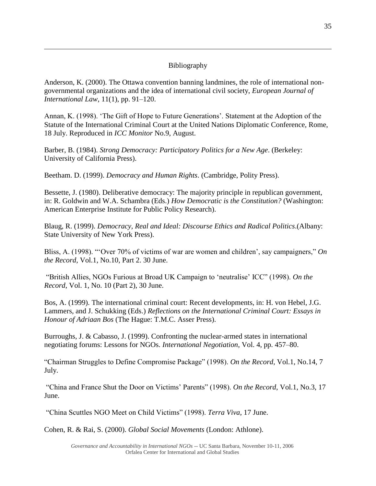# Bibliography

Anderson, K. (2000). The Ottawa convention banning landmines, the role of international nongovernmental organizations and the idea of international civil society, *European Journal of International Law*, 11(1), pp. 91–120.

Annan, K. (1998). 'The Gift of Hope to Future Generations'. Statement at the Adoption of the Statute of the International Criminal Court at the United Nations Diplomatic Conference, Rome, 18 July. Reproduced in *ICC Monitor* No.9, August.

Barber, B. (1984). *Strong Democracy: Participatory Politics for a New Age*. (Berkeley: University of California Press).

Beetham. D. (1999). *Democracy and Human Rights*. (Cambridge, Polity Press).

 $\overline{a}$ 

Bessette, J. (1980). Deliberative democracy: The majority principle in republican government, in: R. Goldwin and W.A. Schambra (Eds.) *How Democratic is the Constitution?* (Washington: American Enterprise Institute for Public Policy Research).

Blaug, R. (1999). *Democracy, Real and Ideal: Discourse Ethics and Radical Politics*.(Albany: State University of New York Press).

Bliss, A. (1998). "'Over 70% of victims of war are women and children', say campaigners," *On the Record*, Vol.1, No.10, Part 2. 30 June.

"British Allies, NGOs Furious at Broad UK Campaign to 'neutralise' ICC" (1998). *On the Record*, Vol. 1, No. 10 (Part 2), 30 June.

Bos, A. (1999). The international criminal court: Recent developments, in: H. von Hebel, J.G. Lammers, and J. Schukking (Eds.) *Reflections on the International Criminal Court: Essays in Honour of Adriaan Bos* (The Hague: T.M.C. Asser Press).

Burroughs, J. & Cabasso, J. (1999). Confronting the nuclear-armed states in international negotiating forums: Lessons for NGOs. *International Negotiation*, Vol. 4, pp. 457–80.

"Chairman Struggles to Define Compromise Package" (1998). *On the Record*, Vol.1, No.14, 7 July.

"China and France Shut the Door on Victims' Parents" (1998). *On the Record*, Vol.1, No.3, 17 June.

"China Scuttles NGO Meet on Child Victims" (1998). *Terra Viva*, 17 June.

Cohen, R. & Rai, S. (2000). *Global Social Movements* (London: Athlone).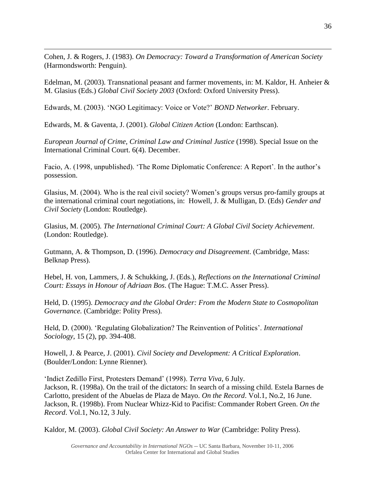Cohen, J. & Rogers, J. (1983). *On Democracy: Toward a Transformation of American Society* (Harmondsworth: Penguin).

Edelman, M. (2003). Transnational peasant and farmer movements, in: M. Kaldor, H. Anheier & M. Glasius (Eds.) *Global Civil Society 2003* (Oxford: Oxford University Press).

Edwards, M. (2003). 'NGO Legitimacy: Voice or Vote?' *BOND Networker*. February.

Edwards, M. & Gaventa, J. (2001). *Global Citizen Action* (London: Earthscan).

 $\overline{a}$ 

*European Journal of Crime, Criminal Law and Criminal Justice* (1998). Special Issue on the International Criminal Court. 6(4). December.

Facio, A. (1998, unpublished). 'The Rome Diplomatic Conference: A Report'. In the author's possession.

Glasius, M. (2004). Who is the real civil society? Women's groups versus pro-family groups at the international criminal court negotiations, in: Howell, J. & Mulligan, D. (Eds) *Gender and Civil Society* (London: Routledge).

Glasius, M. (2005). *The International Criminal Court: A Global Civil Society Achievement*. (London: Routledge).

Gutmann, A. & Thompson, D. (1996). *Democracy and Disagreement*. (Cambridge, Mass: Belknap Press).

Hebel, H. von, Lammers, J. & Schukking, J. (Eds.), *Reflections on the International Criminal Court: Essays in Honour of Adriaan Bos*. (The Hague: T.M.C. Asser Press).

Held, D. (1995). *Democracy and the Global Order: From the Modern State to Cosmopolitan Governance.* (Cambridge: Polity Press).

Held, D. (2000). 'Regulating Globalization? The Reinvention of Politics'. *International Sociology*, 15 (2), pp. 394-408.

Howell, J. & Pearce, J. (2001). *Civil Society and Development: A Critical Exploration*. (Boulder/London: Lynne Rienner).

'Indict Zedillo First, Protesters Demand' (1998). *Terra Viva*, 6 July. Jackson, R. (1998a). On the trail of the dictators: In search of a missing child. Estela Barnes de Carlotto, president of the Abuelas de Plaza de Mayo. *On the Record*. Vol.1, No.2, 16 June. Jackson, R. (1998b). From Nuclear Whizz-Kid to Pacifist: Commander Robert Green. *On the Record*. Vol.1, No.12, 3 July.

Kaldor, M. (2003). *Global Civil Society: An Answer to War* (Cambridge: Polity Press).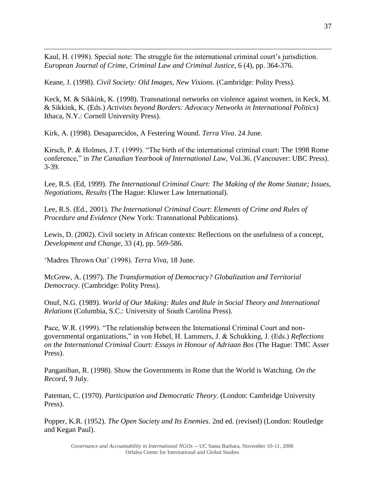Kaul, H. (1998). Special note: The struggle for the international criminal court's jurisdiction. *European Journal of Crime, Criminal Law and Criminal Justice*, 6 (4), pp. 364-376.

Keane, J. (1998). *Civil Society: Old Images, New Visions*. (Cambridge: Polity Press).

Keck, M. & Sikkink, K. (1998). Transnational networks on violence against women, in Keck, M. & Sikkink, K. (Eds.) *Activists beyond Borders: Advocacy Networks in International Politics*) Ithaca, N.Y.: Cornell University Press).

Kirk, A. (1998). Desaparecidos, A Festering Wound. *Terra Viva*. 24 June.

Kirsch, P. & Holmes, J.T. (1999). "The birth of the international criminal court: The 1998 Rome conference," in *The Canadian Yearbook of International Law*, Vol.36. (Vancouver: UBC Press). 3-39.

Lee, R.S. (Ed, 1999). *The International Criminal Court: The Making of the Rome Statute; Issues, Negotiations, Results* (The Hague: Kluwer Law International).

Lee, R.S. (Ed., 2001). *The International Criminal Court*: *Elements of Crime and Rules of Procedure and Evidence* (New York: Transnational Publications).

Lewis, D. (2002). Civil society in African contexts: Reflections on the usefulness of a concept, *Development and Change*, 33 (4), pp. 569-586.

'Madres Thrown Out' (1998). *Terra Viva*, 18 June.

 $\overline{a}$ 

McGrew, A. (1997). *The Transformation of Democracy? Globalization and Territorial Democracy*. (Cambridge: Polity Press).

Onuf, N.G. (1989). *World of Our Making: Rules and Rule in Social Theory and International Relations* (Columbia, S.C.: University of South Carolina Press).

Pace, W.R. (1999). "The relationship between the International Criminal Court and nongovernmental organizations," in von Hebel, H. Lammers, J. & Schukking, J. (Eds.) *Reflections on the International Criminal Court: Essays in Honour of Adriaan Bos* (The Hague: TMC Asser Press).

Panganiban, R. (1998). Show the Governments in Rome that the World is Watching. *On the Record*, 9 July.

Pateman, C. (1970). *Participation and Democratic Theory*. (London: Cambridge University Press).

Popper, K.R. (1952). *The Open Society and Its Enemies*. 2nd ed. (revised) (London: Routledge and Kegan Paul).